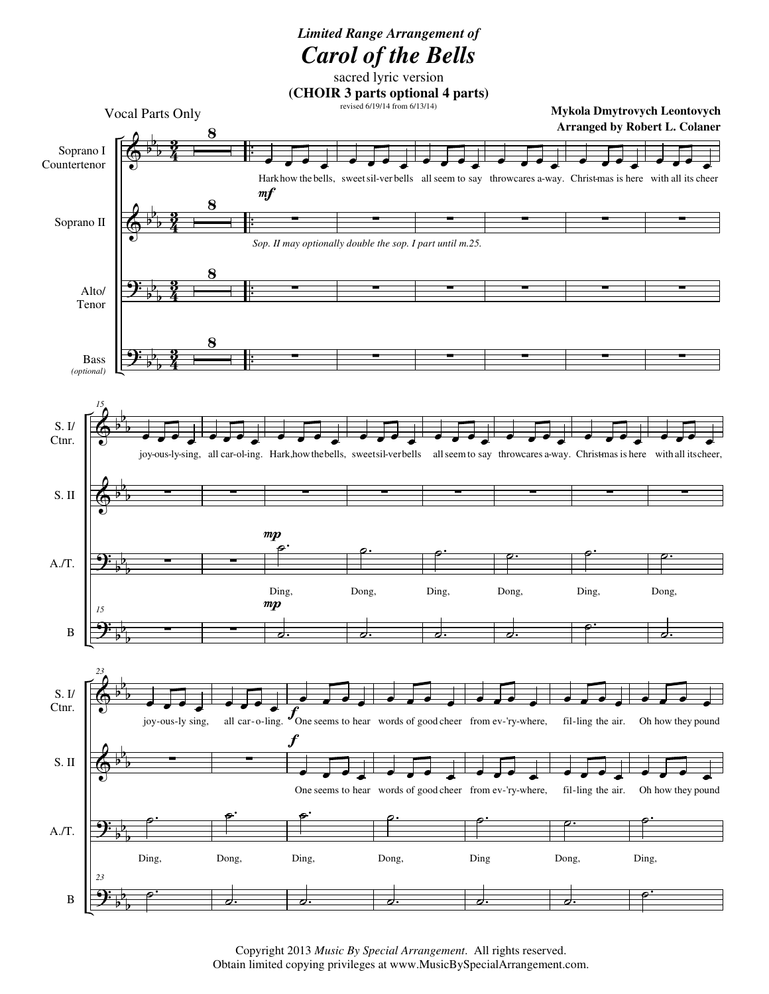## *Limited Range Arrangement of Carol of the Bells*

 $\Phi$  $\Phi$ <u>.</u>  $\overline{\mathbf{P}}$ b b **b** b b **b** b b b b b b 4 <u>ន្</u> 4  $\frac{3}{2}$ 4 <u>ន្</u>  $\frac{3}{4}$  $\frac{3}{2}$ . . . . . . . . Soprano I Countertenor Soprano II Alto/ Tenor Bass *(optional)* 8 8 8  $\overline{\mathbf{8}}$ œ œ œ œ Harkhow the bells, sweet sil-ver bells all seem to say throwcares a-way. Christ-mas is here with all its cheer ∑ ∑ ∑  $m f$ *Sop. II may optionally double the sop. I part until m.25.* œ œ œ œ ∑ ∑ ∑ œ œ œ œ ∑ ∑ ∑ œ œ œ œ ∑ ∑ ∑ œ œ œ œ ∑ ∑ ∑ œ œ œ œ ∑ ∑ ∑  $\Phi$  $\Phi$ <u>. .</u> <u>.</u> b b b b b b b b b b b b S. I/ Ctnr. S. II A./T. B *15* **。** œ joy-ous-ly-sing, ∑ ∑ *15* ∑ œ œ œ œ all car-ol-ing. ∑ ∑ ∑ P ˙. œ œ œ œ Hark,howthebells, ∑ Ding, ˙.  $mp$ **。** œ sweetsil-verbells ∑ ˙. Dong, ˙. **。** œ all seem to say ∑ <u>، م</u> Ding, ˙. —<br> œ throwcares a-way. ∑ ˙. Dong, ˙. œ œ œ œ Christmas is here ∑ <u>، م</u> Ding, <u>۔</u> —<br> œ with all itscheer, ∑ ˙. Dong, ˙.  $\Phi$  $\Phi$ <u>.</u> <u>.</u> b b b b b b b b b b b b S. I/ Ctnr. S. II A./T. B *23* œ œ œ œ joy-ous-ly sing, ∑ ˙. Ding, *23* ˙. œ œ œ œ all car-o-ling. ∑ ˙. Dong, ,  $\overrightarrow{e}$  $\overline{\phantom{0}}$  $f_{\text{One seems to hear}}$ —<br> œ One seems to hear words of good cheer from ev-'ry-where, ˙. Ding, ˙. f œ œ œ œ words of good cheer œ œ œ œ ˙. Dong, ˙. œ œ œ œ from ev-'ry-where, œ œ œ œ ˙. Ding ˙. œ œ œ  $\overline{\bullet}$ fil-ling the air. **。** œ fil-ling the air. ˙. Dong, ˙. œ œ œ  $\overline{\phantom{0}}$ Oh how they pound œ œ œ œ Oh how they pound ˙. Ding, ˙. **Mykola Dmytrovych Leontovych Arranged by Robert L. Colaner** Vocal Parts Only sacred lyric version **(CHOIR 3 parts optional 4 parts)** revised 6/19/14 from 6/13/14)

> Copyright 2013 *Music By Special Arrangement*. All rights reserved. Obtain limited copying privileges at www.MusicBySpecialArrangement.com.